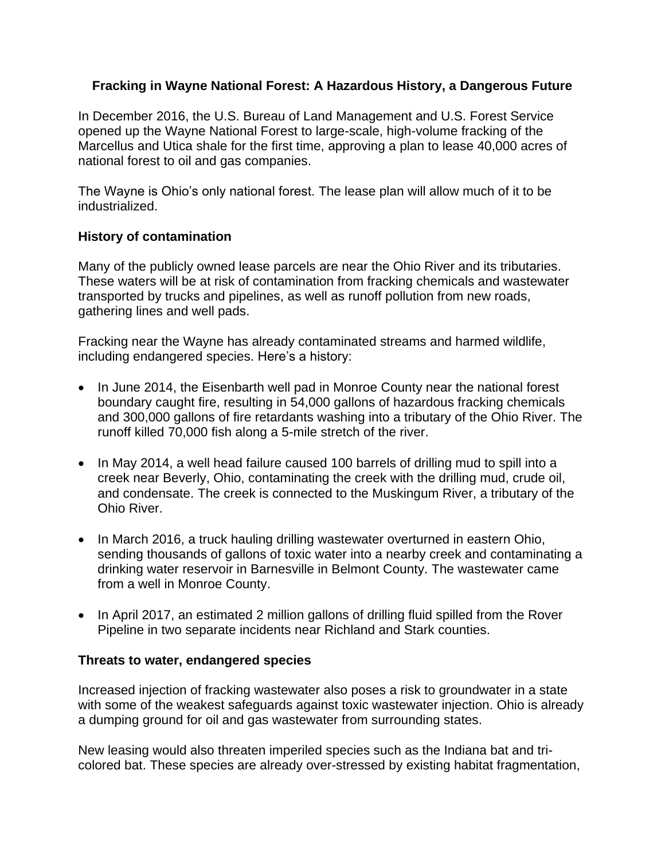## **Fracking in Wayne National Forest: A Hazardous History, a Dangerous Future**

In December 2016, the U.S. Bureau of Land Management and U.S. Forest Service opened up the Wayne National Forest to large-scale, high-volume fracking of the Marcellus and Utica shale for the first time, approving a plan to lease 40,000 acres of national forest to oil and gas companies.

The Wayne is Ohio's only national forest. The lease plan will allow much of it to be industrialized.

## **History of contamination**

Many of the publicly owned lease parcels are near the Ohio River and its tributaries. These waters will be at risk of contamination from fracking chemicals and wastewater transported by trucks and pipelines, as well as runoff pollution from new roads, gathering lines and well pads.

Fracking near the Wayne has already contaminated streams and harmed wildlife, including endangered species. Here's a history:

- In June 2014, the Eisenbarth well pad in Monroe County near the national forest boundary caught fire, resulting in 54,000 gallons of hazardous fracking chemicals and 300,000 gallons of fire retardants washing into a tributary of the Ohio River. The runoff killed 70,000 fish along a 5-mile stretch of the river.
- In May 2014, a well head failure caused 100 barrels of drilling mud to spill into a creek near Beverly, Ohio, contaminating the creek with the drilling mud, crude oil, and condensate. The creek is connected to the Muskingum River, a tributary of the Ohio River.
- In March 2016, a truck hauling drilling wastewater overturned in eastern Ohio, sending thousands of gallons of toxic water into a nearby creek and contaminating a drinking water reservoir in Barnesville in Belmont County. The wastewater came from a well in Monroe County.
- In April 2017, an estimated 2 million gallons of drilling fluid spilled from the Rover Pipeline in two separate incidents near Richland and Stark counties.

## **Threats to water, endangered species**

Increased injection of fracking wastewater also poses a risk to groundwater in a state with some of the weakest safeguards against toxic wastewater injection. Ohio is already a dumping ground for oil and gas wastewater from surrounding states.

New leasing would also threaten imperiled species such as the Indiana bat and tricolored bat. These species are already over-stressed by existing habitat fragmentation,